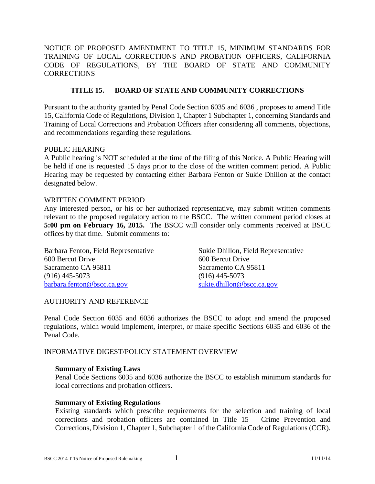NOTICE OF PROPOSED AMENDMENT TO TITLE 15, MINIMUM STANDARDS FOR TRAINING OF LOCAL CORRECTIONS AND PROBATION OFFICERS, CALIFORNIA CODE OF REGULATIONS, BY THE BOARD OF STATE AND COMMUNITY **CORRECTIONS** 

# **TITLE 15. BOARD OF STATE AND COMMUNITY CORRECTIONS**

Pursuant to the authority granted by Penal Code Section 6035 and 6036 , proposes to amend Title 15, California Code of Regulations, Division 1, Chapter 1 Subchapter 1, concerning Standards and Training of Local Corrections and Probation Officers after considering all comments, objections, and recommendations regarding these regulations.

### PUBLIC HEARING

A Public hearing is NOT scheduled at the time of the filing of this Notice. A Public Hearing will be held if one is requested 15 days prior to the close of the written comment period. A Public Hearing may be requested by contacting either Barbara Fenton or Sukie Dhillon at the contact designated below.

### WRITTEN COMMENT PERIOD

Any interested person, or his or her authorized representative, may submit written comments relevant to the proposed regulatory action to the BSCC. The written comment period closes at **5:00 pm on February 16, 2015.** The BSCC will consider only comments received at BSCC offices by that time. Submit comments to:

Barbara Fenton, Field Representative 600 Bercut Drive Sacramento CA 95811 (916) 445-5073 [barbara.fenton@bscc.ca.gov](mailto:barbara.fenton@bscc.ca.gov)

Sukie Dhillon, Field Representative 600 Bercut Drive Sacramento CA 95811 (916) 445-5073 [sukie.dhillon@bscc.ca.gov](mailto:sukie.dhillon@bscc.ca.gov)

## AUTHORITY AND REFERENCE

Penal Code Section 6035 and 6036 authorizes the BSCC to adopt and amend the proposed regulations, which would implement, interpret, or make specific Sections 6035 and 6036 of the Penal Code.

## INFORMATIVE DIGEST/POLICY STATEMENT OVERVIEW

### **Summary of Existing Laws**

Penal Code Sections 6035 and 6036 authorize the BSCC to establish minimum standards for local corrections and probation officers.

### **Summary of Existing Regulations**

Existing standards which prescribe requirements for the selection and training of local corrections and probation officers are contained in Title 15 – Crime Prevention and Corrections, Division 1, Chapter 1, Subchapter 1 of the California Code of Regulations (CCR).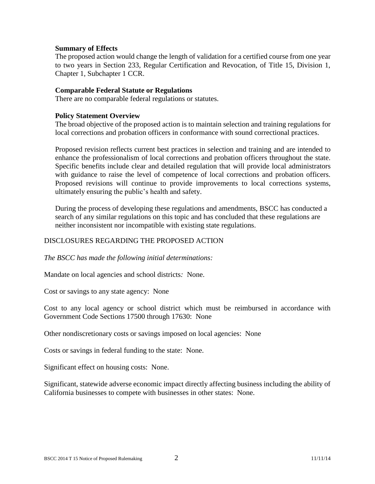## **Summary of Effects**

The proposed action would change the length of validation for a certified course from one year to two years in Section 233, Regular Certification and Revocation, of Title 15, Division 1, Chapter 1, Subchapter 1 CCR.

## **Comparable Federal Statute or Regulations**

There are no comparable federal regulations or statutes.

## **Policy Statement Overview**

The broad objective of the proposed action is to maintain selection and training regulations for local corrections and probation officers in conformance with sound correctional practices.

Proposed revision reflects current best practices in selection and training and are intended to enhance the professionalism of local corrections and probation officers throughout the state. Specific benefits include clear and detailed regulation that will provide local administrators with guidance to raise the level of competence of local corrections and probation officers. Proposed revisions will continue to provide improvements to local corrections systems, ultimately ensuring the public's health and safety.

During the process of developing these regulations and amendments, BSCC has conducted a search of any similar regulations on this topic and has concluded that these regulations are neither inconsistent nor incompatible with existing state regulations.

## DISCLOSURES REGARDING THE PROPOSED ACTION

*The BSCC has made the following initial determinations:*

Mandate on local agencies and school districts*:* None.

Cost or savings to any state agency: None

Cost to any local agency or school district which must be reimbursed in accordance with Government Code Sections 17500 through 17630: None

Other nondiscretionary costs or savings imposed on local agencies: None

Costs or savings in federal funding to the state: None.

Significant effect on housing costs: None.

Significant, statewide adverse economic impact directly affecting business including the ability of California businesses to compete with businesses in other states: None.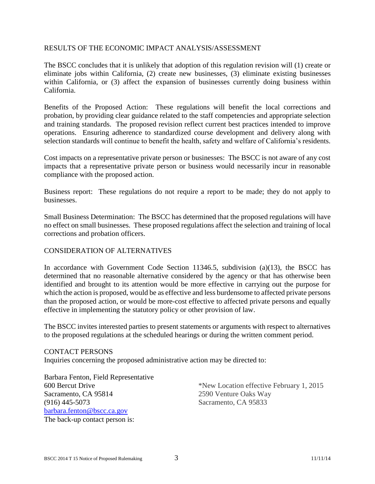## RESULTS OF THE ECONOMIC IMPACT ANALYSIS/ASSESSMENT

The BSCC concludes that it is unlikely that adoption of this regulation revision will (1) create or eliminate jobs within California, (2) create new businesses, (3) eliminate existing businesses within California, or (3) affect the expansion of businesses currently doing business within California.

Benefits of the Proposed Action: These regulations will benefit the local corrections and probation, by providing clear guidance related to the staff competencies and appropriate selection and training standards. The proposed revision reflect current best practices intended to improve operations. Ensuring adherence to standardized course development and delivery along with selection standards will continue to benefit the health, safety and welfare of California's residents.

Cost impacts on a representative private person or businesses: The BSCC is not aware of any cost impacts that a representative private person or business would necessarily incur in reasonable compliance with the proposed action.

Business report: These regulations do not require a report to be made; they do not apply to businesses.

Small Business Determination: The BSCC has determined that the proposed regulations will have no effect on small businesses. These proposed regulations affect the selection and training of local corrections and probation officers.

## CONSIDERATION OF ALTERNATIVES

In accordance with Government Code Section  $11346.5$ , subdivision  $(a)(13)$ , the BSCC has determined that no reasonable alternative considered by the agency or that has otherwise been identified and brought to its attention would be more effective in carrying out the purpose for which the action is proposed, would be as effective and less burdensome to affected private persons than the proposed action, or would be more-cost effective to affected private persons and equally effective in implementing the statutory policy or other provision of law.

The BSCC invites interested parties to present statements or arguments with respect to alternatives to the proposed regulations at the scheduled hearings or during the written comment period.

### CONTACT PERSONS

Inquiries concerning the proposed administrative action may be directed to:

Barbara Fenton, Field Representative 600 Bercut Drive Sacramento, CA 95814 (916) 445-5073 [barbara.fenton@bscc.ca.gov](mailto:barbara.fenton@bscc.ca.gov) The back-up contact person is:

\*New Location effective February 1, 2015 2590 Venture Oaks Way Sacramento, CA 95833